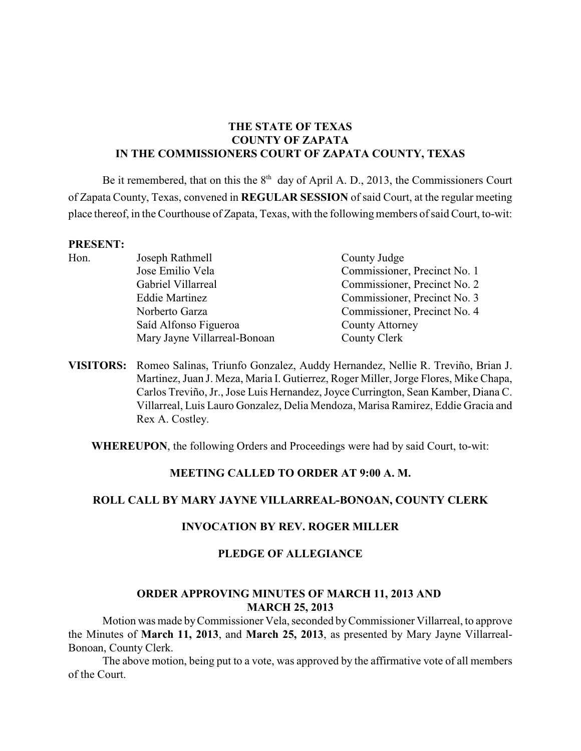# **THE STATE OF TEXAS COUNTY OF ZAPATA IN THE COMMISSIONERS COURT OF ZAPATA COUNTY, TEXAS**

Be it remembered, that on this the  $8<sup>th</sup>$  day of April A. D., 2013, the Commissioners Court of Zapata County, Texas, convened in **REGULAR SESSION** of said Court, at the regular meeting place thereof, in the Courthouse of Zapata, Texas, with the following members of said Court, to-wit:

#### **PRESENT:**

| Hon. | Joseph Rathmell              | County Judge                 |
|------|------------------------------|------------------------------|
|      | Jose Emilio Vela             | Commissioner, Precinct No. 1 |
|      | Gabriel Villarreal           | Commissioner, Precinct No. 2 |
|      | <b>Eddie Martinez</b>        | Commissioner, Precinct No. 3 |
|      | Norberto Garza               | Commissioner, Precinct No. 4 |
|      | Saíd Alfonso Figueroa        | <b>County Attorney</b>       |
|      | Mary Jayne Villarreal-Bonoan | County Clerk                 |
|      |                              |                              |

**VISITORS:** Romeo Salinas, Triunfo Gonzalez, Auddy Hernandez, Nellie R. Treviño, Brian J. Martinez, Juan J. Meza, Maria I. Gutierrez, Roger Miller, Jorge Flores, Mike Chapa, Carlos Treviño, Jr., Jose Luis Hernandez, Joyce Currington, Sean Kamber, Diana C. Villarreal, Luis Lauro Gonzalez, Delia Mendoza, Marisa Ramirez, Eddie Gracia and Rex A. Costley.

**WHEREUPON**, the following Orders and Proceedings were had by said Court, to-wit:

## **MEETING CALLED TO ORDER AT 9:00 A. M.**

# **ROLL CALL BY MARY JAYNE VILLARREAL-BONOAN, COUNTY CLERK**

## **INVOCATION BY REV. ROGER MILLER**

## **PLEDGE OF ALLEGIANCE**

## **ORDER APPROVING MINUTES OF MARCH 11, 2013 AND MARCH 25, 2013**

Motion was made by Commissioner Vela, seconded byCommissioner Villarreal, to approve the Minutes of **March 11, 2013**, and **March 25, 2013**, as presented by Mary Jayne Villarreal-Bonoan, County Clerk.

The above motion, being put to a vote, was approved by the affirmative vote of all members of the Court.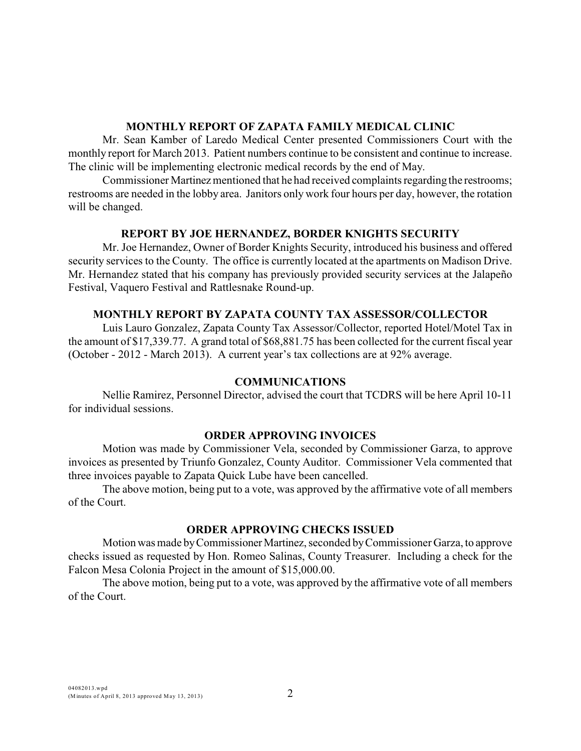#### **MONTHLY REPORT OF ZAPATA FAMILY MEDICAL CLINIC**

Mr. Sean Kamber of Laredo Medical Center presented Commissioners Court with the monthly report for March 2013. Patient numbers continue to be consistent and continue to increase. The clinic will be implementing electronic medical records by the end of May.

Commissioner Martinez mentioned that he had received complaints regarding the restrooms; restrooms are needed in the lobby area. Janitors only work four hours per day, however, the rotation will be changed.

## **REPORT BY JOE HERNANDEZ, BORDER KNIGHTS SECURITY**

Mr. Joe Hernandez, Owner of Border Knights Security, introduced his business and offered security services to the County. The office is currently located at the apartments on Madison Drive. Mr. Hernandez stated that his company has previously provided security services at the Jalapeño Festival, Vaquero Festival and Rattlesnake Round-up.

## **MONTHLY REPORT BY ZAPATA COUNTY TAX ASSESSOR/COLLECTOR**

Luis Lauro Gonzalez, Zapata County Tax Assessor/Collector, reported Hotel/Motel Tax in the amount of \$17,339.77. A grand total of \$68,881.75 has been collected for the current fiscal year (October - 2012 - March 2013). A current year's tax collections are at 92% average.

## **COMMUNICATIONS**

Nellie Ramirez, Personnel Director, advised the court that TCDRS will be here April 10-11 for individual sessions.

## **ORDER APPROVING INVOICES**

Motion was made by Commissioner Vela, seconded by Commissioner Garza, to approve invoices as presented by Triunfo Gonzalez, County Auditor. Commissioner Vela commented that three invoices payable to Zapata Quick Lube have been cancelled.

The above motion, being put to a vote, was approved by the affirmative vote of all members of the Court.

# **ORDER APPROVING CHECKS ISSUED**

Motion was made by Commissioner Martinez, seconded by Commissioner Garza, to approve checks issued as requested by Hon. Romeo Salinas, County Treasurer. Including a check for the Falcon Mesa Colonia Project in the amount of \$15,000.00.

The above motion, being put to a vote, was approved by the affirmative vote of all members of the Court.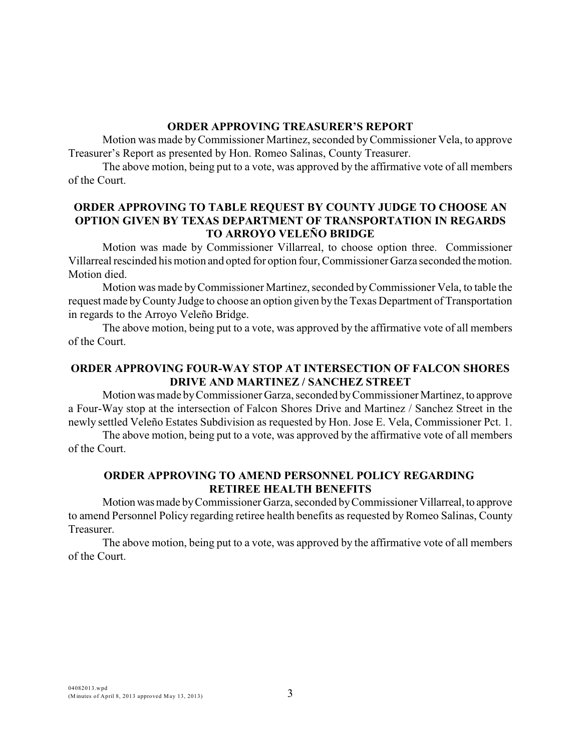#### **ORDER APPROVING TREASURER'S REPORT**

Motion was made byCommissioner Martinez, seconded byCommissioner Vela, to approve Treasurer's Report as presented by Hon. Romeo Salinas, County Treasurer.

The above motion, being put to a vote, was approved by the affirmative vote of all members of the Court.

## **ORDER APPROVING TO TABLE REQUEST BY COUNTY JUDGE TO CHOOSE AN OPTION GIVEN BY TEXAS DEPARTMENT OF TRANSPORTATION IN REGARDS TO ARROYO VELEÑO BRIDGE**

Motion was made by Commissioner Villarreal, to choose option three. Commissioner Villarreal rescinded his motion and opted for option four, Commissioner Garza seconded the motion. Motion died.

Motion was made byCommissioner Martinez, seconded by Commissioner Vela, to table the request made byCounty Judge to choose an option given by the Texas Department of Transportation in regards to the Arroyo Veleño Bridge.

The above motion, being put to a vote, was approved by the affirmative vote of all members of the Court.

# **ORDER APPROVING FOUR-WAY STOP AT INTERSECTION OF FALCON SHORES DRIVE AND MARTINEZ / SANCHEZ STREET**

Motion was made by Commissioner Garza, seconded by Commissioner Martinez, to approve a Four-Way stop at the intersection of Falcon Shores Drive and Martinez / Sanchez Street in the newly settled Veleño Estates Subdivision as requested by Hon. Jose E. Vela, Commissioner Pct. 1.

The above motion, being put to a vote, was approved by the affirmative vote of all members of the Court.

## **ORDER APPROVING TO AMEND PERSONNEL POLICY REGARDING RETIREE HEALTH BENEFITS**

Motion was made by Commissioner Garza, seconded by Commissioner Villarreal, to approve to amend Personnel Policy regarding retiree health benefits as requested by Romeo Salinas, County Treasurer.

The above motion, being put to a vote, was approved by the affirmative vote of all members of the Court.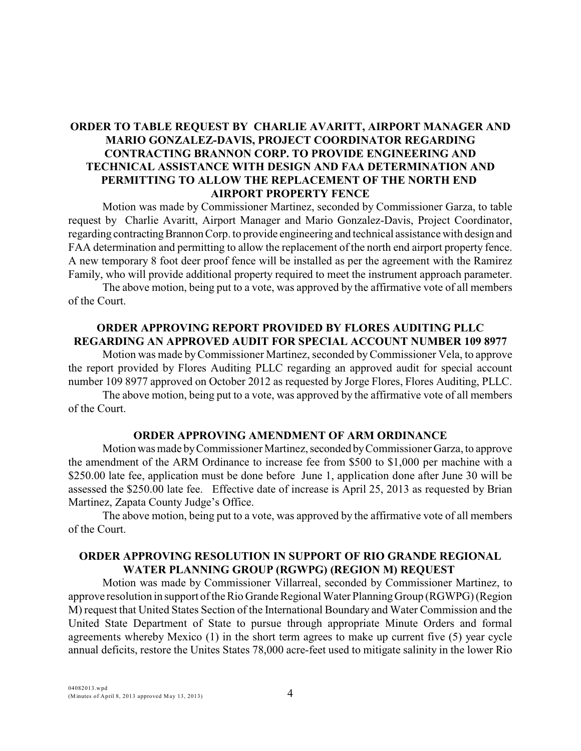# **ORDER TO TABLE REQUEST BY CHARLIE AVARITT, AIRPORT MANAGER AND MARIO GONZALEZ-DAVIS, PROJECT COORDINATOR REGARDING CONTRACTING BRANNON CORP. TO PROVIDE ENGINEERING AND TECHNICAL ASSISTANCE WITH DESIGN AND FAA DETERMINATION AND PERMITTING TO ALLOW THE REPLACEMENT OF THE NORTH END AIRPORT PROPERTY FENCE**

Motion was made by Commissioner Martinez, seconded by Commissioner Garza, to table request by Charlie Avaritt, Airport Manager and Mario Gonzalez-Davis, Project Coordinator, regarding contracting Brannon Corp. to provide engineering and technical assistance with design and FAA determination and permitting to allow the replacement of the north end airport property fence. A new temporary 8 foot deer proof fence will be installed as per the agreement with the Ramirez Family, who will provide additional property required to meet the instrument approach parameter.

The above motion, being put to a vote, was approved by the affirmative vote of all members of the Court.

## **ORDER APPROVING REPORT PROVIDED BY FLORES AUDITING PLLC REGARDING AN APPROVED AUDIT FOR SPECIAL ACCOUNT NUMBER 109 8977**

Motion was made by Commissioner Martinez, seconded byCommissioner Vela, to approve the report provided by Flores Auditing PLLC regarding an approved audit for special account number 109 8977 approved on October 2012 as requested by Jorge Flores, Flores Auditing, PLLC.

The above motion, being put to a vote, was approved by the affirmative vote of all members of the Court.

#### **ORDER APPROVING AMENDMENT OF ARM ORDINANCE**

Motion was made by Commissioner Martinez, seconded by Commissioner Garza, to approve the amendment of the ARM Ordinance to increase fee from \$500 to \$1,000 per machine with a \$250.00 late fee, application must be done before June 1, application done after June 30 will be assessed the \$250.00 late fee. Effective date of increase is April 25, 2013 as requested by Brian Martinez, Zapata County Judge's Office.

The above motion, being put to a vote, was approved by the affirmative vote of all members of the Court.

#### **ORDER APPROVING RESOLUTION IN SUPPORT OF RIO GRANDE REGIONAL WATER PLANNING GROUP (RGWPG) (REGION M) REQUEST**

Motion was made by Commissioner Villarreal, seconded by Commissioner Martinez, to approve resolution in support of the Rio Grande Regional Water Planning Group (RGWPG) (Region M) request that United States Section of the International Boundary and Water Commission and the United State Department of State to pursue through appropriate Minute Orders and formal agreements whereby Mexico (1) in the short term agrees to make up current five (5) year cycle annual deficits, restore the Unites States 78,000 acre-feet used to mitigate salinity in the lower Rio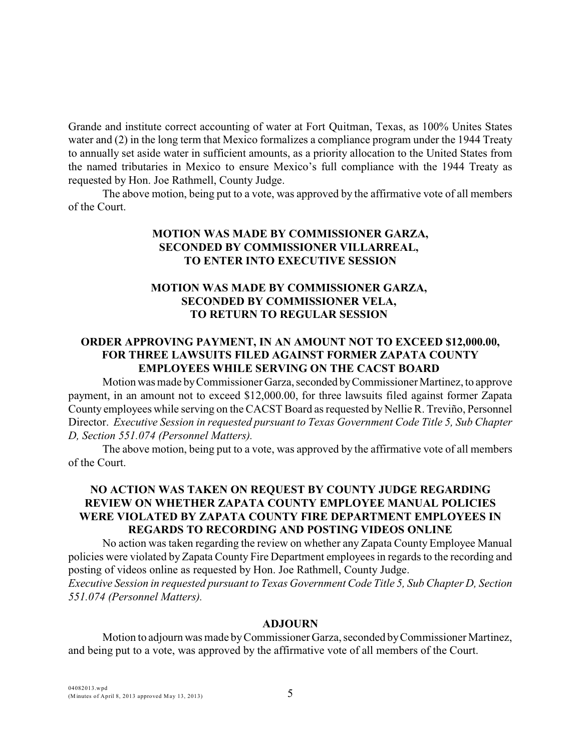Grande and institute correct accounting of water at Fort Quitman, Texas, as 100% Unites States water and (2) in the long term that Mexico formalizes a compliance program under the 1944 Treaty to annually set aside water in sufficient amounts, as a priority allocation to the United States from the named tributaries in Mexico to ensure Mexico's full compliance with the 1944 Treaty as requested by Hon. Joe Rathmell, County Judge.

The above motion, being put to a vote, was approved by the affirmative vote of all members of the Court.

# **MOTION WAS MADE BY COMMISSIONER GARZA, SECONDED BY COMMISSIONER VILLARREAL, TO ENTER INTO EXECUTIVE SESSION**

# **MOTION WAS MADE BY COMMISSIONER GARZA, SECONDED BY COMMISSIONER VELA, TO RETURN TO REGULAR SESSION**

# **ORDER APPROVING PAYMENT, IN AN AMOUNT NOT TO EXCEED \$12,000.00, FOR THREE LAWSUITS FILED AGAINST FORMER ZAPATA COUNTY EMPLOYEES WHILE SERVING ON THE CACST BOARD**

Motion was made by Commissioner Garza, seconded by Commissioner Martinez, to approve payment, in an amount not to exceed \$12,000.00, for three lawsuits filed against former Zapata County employees while serving on the CACST Board as requested by Nellie R. Treviño, Personnel Director. *Executive Session in requested pursuant to Texas Government Code Title 5, Sub Chapter D, Section 551.074 (Personnel Matters).* 

The above motion, being put to a vote, was approved by the affirmative vote of all members of the Court.

## **NO ACTION WAS TAKEN ON REQUEST BY COUNTY JUDGE REGARDING REVIEW ON WHETHER ZAPATA COUNTY EMPLOYEE MANUAL POLICIES WERE VIOLATED BY ZAPATA COUNTY FIRE DEPARTMENT EMPLOYEES IN REGARDS TO RECORDING AND POSTING VIDEOS ONLINE**

No action was taken regarding the review on whether any Zapata County Employee Manual policies were violated by Zapata County Fire Department employees in regards to the recording and posting of videos online as requested by Hon. Joe Rathmell, County Judge. *Executive Session in requested pursuant to Texas Government Code Title 5, Sub Chapter D, Section 551.074 (Personnel Matters).* 

#### **ADJOURN**

Motion to adjourn was made byCommissioner Garza, seconded by Commissioner Martinez, and being put to a vote, was approved by the affirmative vote of all members of the Court.